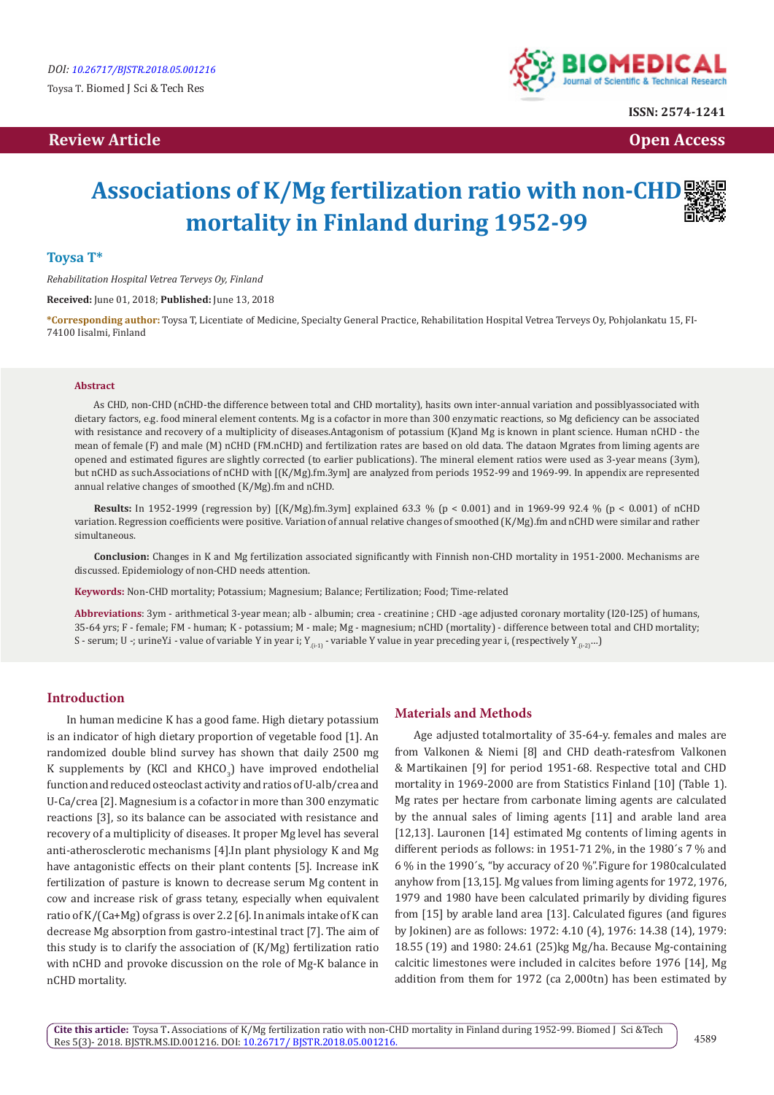# **Review Article Contracts and Contracts and Contracts and Contracts and Contracts and Contracts and Contracts and Contracts and Contracts and Contracts and Contracts and Contracts and Contracts and Contracts and Contracts**



**ISSN: 2574-1241**

# **Associations of K/Mg fertilization ratio with non-CHD mortality in Finland during 1952-99**

## **Toysa T\***

*Rehabilitation Hospital Vetrea Terveys Oy, Finland*

**Received:** June 01, 2018; **Published:** June 13, 2018

**\*Corresponding author:** Toysa T, Licentiate of Medicine, Specialty General Practice, Rehabilitation Hospital Vetrea Terveys Oy, Pohjolankatu 15, FI-74100 Iisalmi, Finland

#### **Abstract**

As CHD, non-CHD (nCHD-the difference between total and CHD mortality), hasits own inter-annual variation and possiblyassociated with dietary factors, e.g. food mineral element contents. Mg is a cofactor in more than 300 enzymatic reactions, so Mg deficiency can be associated with resistance and recovery of a multiplicity of diseases.Antagonism of potassium (K)and Mg is known in plant science. Human nCHD - the mean of female (F) and male (M) nCHD (FM.nCHD) and fertilization rates are based on old data. The dataon Mgrates from liming agents are opened and estimated figures are slightly corrected (to earlier publications). The mineral element ratios were used as 3-year means (3ym), but nCHD as such.Associations of nCHD with [(K/Mg).fm.3ym] are analyzed from periods 1952-99 and 1969-99. In appendix are represented annual relative changes of smoothed (K/Mg).fm and nCHD.

**Results:** In 1952-1999 (regression by) [(K/Mg).fm.3ym] explained 63.3 % (p < 0.001) and in 1969-99 92.4 % (p < 0.001) of nCHD variation. Regression coefficients were positive. Variation of annual relative changes of smoothed (K/Mg).fm and nCHD were similar and rather simultaneous.

**Conclusion:** Changes in K and Mg fertilization associated significantly with Finnish non-CHD mortality in 1951-2000. Mechanisms are discussed. Epidemiology of non-CHD needs attention.

**Keywords:** Non-CHD mortality; Potassium; Magnesium; Balance; Fertilization; Food; Time-related

**Abbreviations**: 3ym - arithmetical 3-year mean; alb - albumin; crea - creatinine ; CHD -age adjusted coronary mortality (I20-I25) of humans, 35-64 yrs; F - female; FM - human; K - potassium; M - male; Mg - magnesium; nCHD (mortality) - difference between total and CHD mortality; S - serum; U -; urineY.i - value of variable Y in year i; Y<sub>6-11</sub> - variable Y value in year preceding year i, (respectively Y<sub>6-2</sub>)…)

## **Introduction**

In human medicine K has a good fame. High dietary potassium is an indicator of high dietary proportion of vegetable food [1]. An randomized double blind survey has shown that daily 2500 mg K supplements by (KCI and  $KHCO<sub>3</sub>$ ) have improved endothelial function and reduced osteoclast activity and ratios of U-alb/crea and U-Ca/crea [2]. Magnesium is a cofactor in more than 300 enzymatic reactions [3], so its balance can be associated with resistance and recovery of a multiplicity of diseases. It proper Mg level has several anti-atherosclerotic mechanisms [4].In plant physiology K and Mg have antagonistic effects on their plant contents [5]. Increase inK fertilization of pasture is known to decrease serum Mg content in cow and increase risk of grass tetany, especially when equivalent ratio of K/(Ca+Mg) of grass is over 2.2 [6]. In animals intake of K can decrease Mg absorption from gastro-intestinal tract [7]. The aim of this study is to clarify the association of (K/Mg) fertilization ratio with nCHD and provoke discussion on the role of Mg-K balance in nCHD mortality.

## **Materials and Methods**

Age adjusted totalmortality of 35-64-y. females and males are from Valkonen & Niemi [8] and CHD death-ratesfrom Valkonen & Martikainen [9] for period 1951-68. Respective total and CHD mortality in 1969-2000 are from Statistics Finland [10] (Table 1). Mg rates per hectare from carbonate liming agents are calculated by the annual sales of liming agents [11] and arable land area [12,13]. Lauronen [14] estimated Mg contents of liming agents in different periods as follows: in 1951-71 2%, in the 1980´s 7 % and 6 % in the 1990´s, "by accuracy of 20 %".Figure for 1980calculated anyhow from [13,15]. Mg values from liming agents for 1972, 1976, 1979 and 1980 have been calculated primarily by dividing figures from [15] by arable land area [13]. Calculated figures (and figures by Jokinen) are as follows: 1972: 4.10 (4), 1976: 14.38 (14), 1979: 18.55 (19) and 1980: 24.61 (25)kg Mg/ha. Because Mg-containing calcitic limestones were included in calcites before 1976 [14], Mg addition from them for 1972 (ca 2,000tn) has been estimated by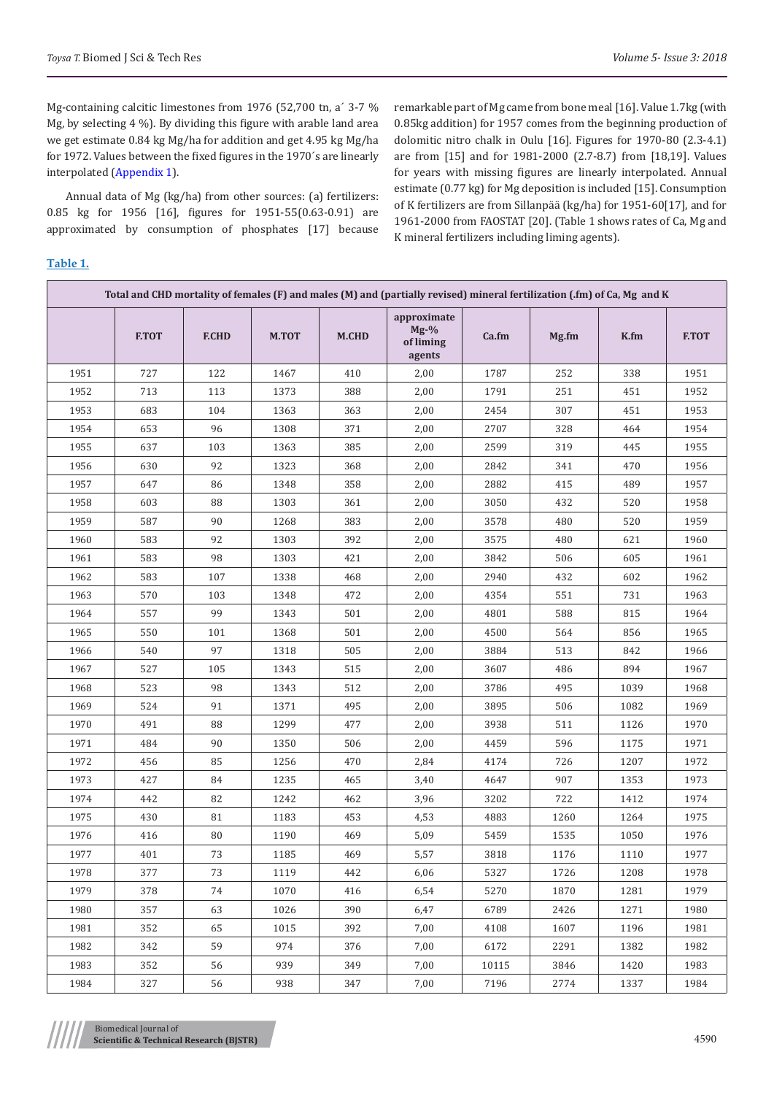Mg-containing calcitic limestones from 1976 (52,700 tn, a´ 3-7 % Mg, by selecting 4 %). By dividing this figure with arable land area we get estimate 0.84 kg Mg/ha for addition and get 4.95 kg Mg/ha for 1972. Values between the fixed figures in the 1970´s are linearly interpolated ([Appendix 1\)](https://biomedres.us/pdfs/BJSTR.MS.ID.001216 Appendix.pdf).

Annual data of Mg (kg/ha) from other sources: (a) fertilizers: 0.85 kg for 1956 [16], figures for 1951-55(0.63-0.91) are approximated by consumption of phosphates [17] because remarkable part of Mg came from bone meal [16]. Value 1.7kg (with 0.85kg addition) for 1957 comes from the beginning production of dolomitic nitro chalk in Oulu [16]. Figures for 1970-80 (2.3-4.1) are from [15] and for 1981-2000 (2.7-8.7) from [18,19]. Values for years with missing figures are linearly interpolated. Annual estimate (0.77 kg) for Mg deposition is included [15]. Consumption of K fertilizers are from Sillanpää (kg/ha) for 1951-60[17], and for 1961-2000 from FAOSTAT [20]. (Table 1 shows rates of Ca, Mg and K mineral fertilizers including liming agents).

## **Table 1.**

| Total and CHD mortality of females (F) and males (M) and (partially revised) mineral fertilization (.fm) of Ca, Mg and K |              |              |              |              |                                              |       |       |      |              |  |  |
|--------------------------------------------------------------------------------------------------------------------------|--------------|--------------|--------------|--------------|----------------------------------------------|-------|-------|------|--------------|--|--|
|                                                                                                                          | <b>F.TOT</b> | <b>F.CHD</b> | <b>M.TOT</b> | <b>M.CHD</b> | approximate<br>$Mg-9$<br>of liming<br>agents | Ca.fm | Mg.fm | K.fm | <b>F.TOT</b> |  |  |
| 1951                                                                                                                     | 727          | 122          | 1467         | 410          | 2,00                                         | 1787  | 252   | 338  | 1951         |  |  |
| 1952                                                                                                                     | 713          | 113          | 1373         | 388          | 2,00                                         | 1791  | 251   | 451  | 1952         |  |  |
| 1953                                                                                                                     | 683          | 104          | 1363         | 363          | 2,00                                         | 2454  | 307   | 451  | 1953         |  |  |
| 1954                                                                                                                     | 653          | 96           | 1308         | 371          | 2,00                                         | 2707  | 328   | 464  | 1954         |  |  |
| 1955                                                                                                                     | 637          | 103          | 1363         | 385          | 2,00                                         | 2599  | 319   | 445  | 1955         |  |  |
| 1956                                                                                                                     | 630          | 92           | 1323         | 368          | 2,00                                         | 2842  | 341   | 470  | 1956         |  |  |
| 1957                                                                                                                     | 647          | 86           | 1348         | 358          | 2,00                                         | 2882  | 415   | 489  | 1957         |  |  |
| 1958                                                                                                                     | 603          | 88           | 1303         | 361          | 2,00                                         | 3050  | 432   | 520  | 1958         |  |  |
| 1959                                                                                                                     | 587          | 90           | 1268         | 383          | 2,00                                         | 3578  | 480   | 520  | 1959         |  |  |
| 1960                                                                                                                     | 583          | 92           | 1303         | 392          | 2,00                                         | 3575  | 480   | 621  | 1960         |  |  |
| 1961                                                                                                                     | 583          | 98           | 1303         | 421          | 2,00                                         | 3842  | 506   | 605  | 1961         |  |  |
| 1962                                                                                                                     | 583          | 107          | 1338         | 468          | 2,00                                         | 2940  | 432   | 602  | 1962         |  |  |
| 1963                                                                                                                     | 570          | 103          | 1348         | 472          | 2,00                                         | 4354  | 551   | 731  | 1963         |  |  |
| 1964                                                                                                                     | 557          | 99           | 1343         | 501          | 2,00                                         | 4801  | 588   | 815  | 1964         |  |  |
| 1965                                                                                                                     | 550          | 101          | 1368         | 501          | 2,00                                         | 4500  | 564   | 856  | 1965         |  |  |
| 1966                                                                                                                     | 540          | 97           | 1318         | 505          | 2,00                                         | 3884  | 513   | 842  | 1966         |  |  |
| 1967                                                                                                                     | 527          | 105          | 1343         | 515          | 2,00                                         | 3607  | 486   | 894  | 1967         |  |  |
| 1968                                                                                                                     | 523          | 98           | 1343         | 512          | 2,00                                         | 3786  | 495   | 1039 | 1968         |  |  |
| 1969                                                                                                                     | 524          | 91           | 1371         | 495          | 2,00                                         | 3895  | 506   | 1082 | 1969         |  |  |
| 1970                                                                                                                     | 491          | 88           | 1299         | 477          | 2,00                                         | 3938  | 511   | 1126 | 1970         |  |  |
| 1971                                                                                                                     | 484          | 90           | 1350         | 506          | 2,00                                         | 4459  | 596   | 1175 | 1971         |  |  |
| 1972                                                                                                                     | 456          | 85           | 1256         | 470          | 2,84                                         | 4174  | 726   | 1207 | 1972         |  |  |
| 1973                                                                                                                     | 427          | 84           | 1235         | 465          | 3,40                                         | 4647  | 907   | 1353 | 1973         |  |  |
| 1974                                                                                                                     | 442          | 82           | 1242         | 462          | 3,96                                         | 3202  | 722   | 1412 | 1974         |  |  |
| 1975                                                                                                                     | 430          | 81           | 1183         | 453          | 4,53                                         | 4883  | 1260  | 1264 | 1975         |  |  |
| 1976                                                                                                                     | 416          | 80           | 1190         | 469          | 5,09                                         | 5459  | 1535  | 1050 | 1976         |  |  |
| 1977                                                                                                                     | 401          | 73           | 1185         | 469          | 5,57                                         | 3818  | 1176  | 1110 | 1977         |  |  |
| 1978                                                                                                                     | 377          | 73           | 1119         | 442          | 6,06                                         | 5327  | 1726  | 1208 | 1978         |  |  |
| 1979                                                                                                                     | 378          | 74           | 1070         | 416          | 6,54                                         | 5270  | 1870  | 1281 | 1979         |  |  |
| 1980                                                                                                                     | 357          | 63           | 1026         | 390          | 6,47                                         | 6789  | 2426  | 1271 | 1980         |  |  |
| 1981                                                                                                                     | 352          | 65           | 1015         | 392          | 7,00                                         | 4108  | 1607  | 1196 | 1981         |  |  |
| 1982                                                                                                                     | 342          | 59           | 974          | 376          | 7,00                                         | 6172  | 2291  | 1382 | 1982         |  |  |
| 1983                                                                                                                     | 352          | 56           | 939          | 349          | 7,00                                         | 10115 | 3846  | 1420 | 1983         |  |  |
| 1984                                                                                                                     | 327          | 56           | 938          | 347          | 7,00                                         | 7196  | 2774  | 1337 | 1984         |  |  |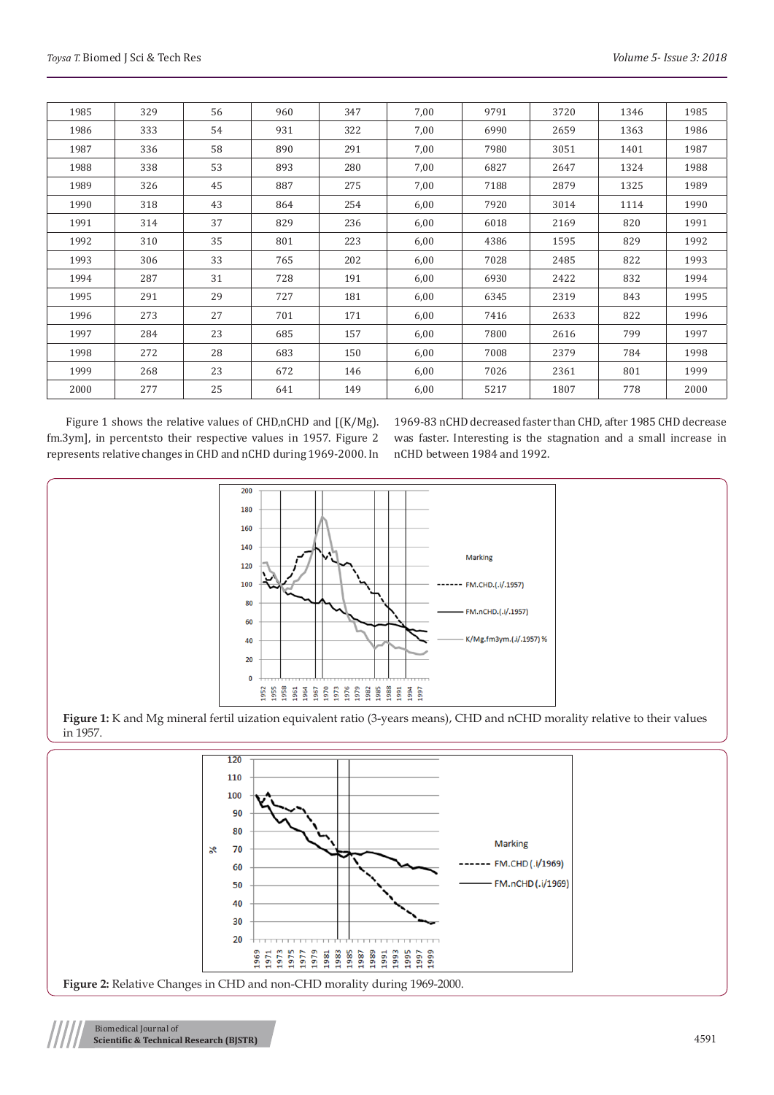| 1985 | 329 | 56 | 960 | 347 | 7,00 | 9791 | 3720 | 1346 | 1985 |
|------|-----|----|-----|-----|------|------|------|------|------|
| 1986 | 333 | 54 | 931 | 322 | 7,00 | 6990 | 2659 | 1363 | 1986 |
| 1987 | 336 | 58 | 890 | 291 | 7,00 | 7980 | 3051 | 1401 | 1987 |
| 1988 | 338 | 53 | 893 | 280 | 7,00 | 6827 | 2647 | 1324 | 1988 |
| 1989 | 326 | 45 | 887 | 275 | 7,00 | 7188 | 2879 | 1325 | 1989 |
| 1990 | 318 | 43 | 864 | 254 | 6,00 | 7920 | 3014 | 1114 | 1990 |
| 1991 | 314 | 37 | 829 | 236 | 6,00 | 6018 | 2169 | 820  | 1991 |
| 1992 | 310 | 35 | 801 | 223 | 6,00 | 4386 | 1595 | 829  | 1992 |
| 1993 | 306 | 33 | 765 | 202 | 6,00 | 7028 | 2485 | 822  | 1993 |
| 1994 | 287 | 31 | 728 | 191 | 6,00 | 6930 | 2422 | 832  | 1994 |
| 1995 | 291 | 29 | 727 | 181 | 6,00 | 6345 | 2319 | 843  | 1995 |
| 1996 | 273 | 27 | 701 | 171 | 6,00 | 7416 | 2633 | 822  | 1996 |
| 1997 | 284 | 23 | 685 | 157 | 6,00 | 7800 | 2616 | 799  | 1997 |
| 1998 | 272 | 28 | 683 | 150 | 6,00 | 7008 | 2379 | 784  | 1998 |
| 1999 | 268 | 23 | 672 | 146 | 6,00 | 7026 | 2361 | 801  | 1999 |
| 2000 | 277 | 25 | 641 | 149 | 6,00 | 5217 | 1807 | 778  | 2000 |

Figure 1 shows the relative values of CHD,nCHD and [(K/Mg). fm.3ym], in percentsto their respective values in 1957. Figure 2 represents relative changes in CHD and nCHD during 1969-2000. In 1969-83 nCHD decreased faster than CHD, after 1985 CHD decrease was faster. Interesting is the stagnation and a small increase in nCHD between 1984 and 1992.



**Figure 1:** K and Mg mineral fertil uization equivalent ratio (3-years means), CHD and nCHD morality relative to their values in 1957.

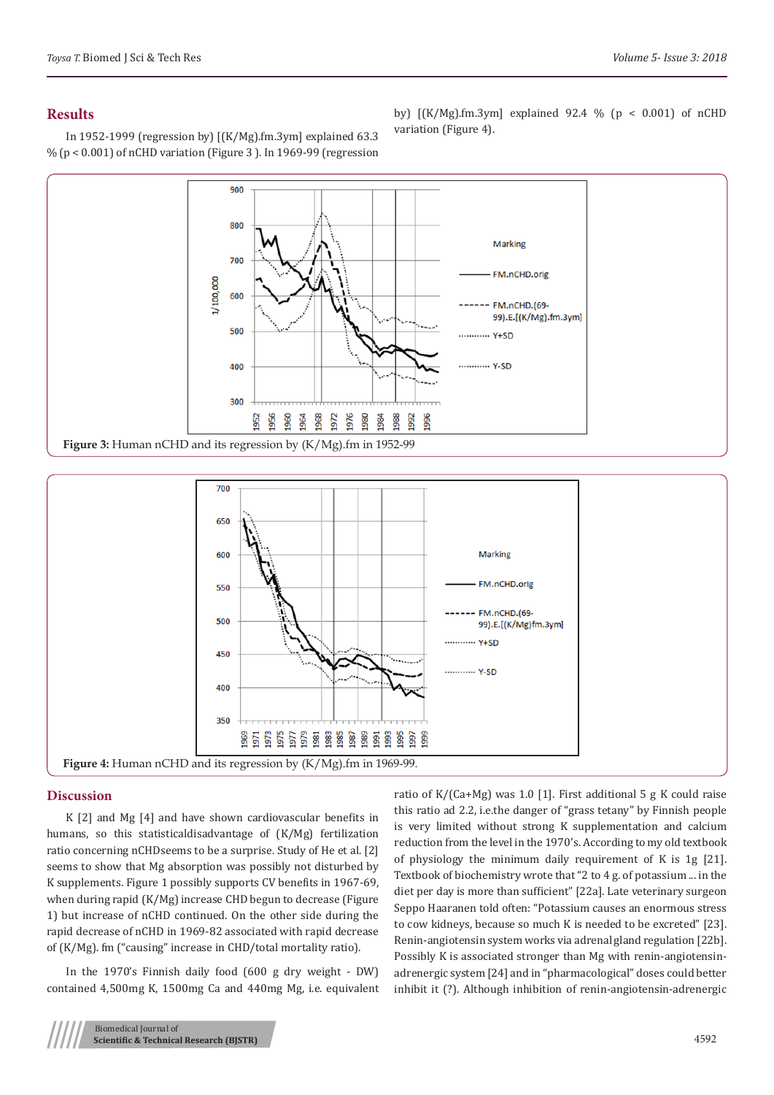## **Results**

In 1952-1999 (regression by) [(K/Mg).fm.3ym] explained 63.3  $\%$  (p < 0.001) of nCHD variation (Figure 3). In 1969-99 (regression

by) [(K/Mg).fm.3ym] explained 92.4 % (p < 0.001) of nCHD variation (Figure 4).





## **Discussion**

K [2] and Mg [4] and have shown cardiovascular benefits in humans, so this statisticaldisadvantage of (K/Mg) fertilization ratio concerning nCHDseems to be a surprise. Study of He et al. [2] seems to show that Mg absorption was possibly not disturbed by K supplements. Figure 1 possibly supports CV benefits in 1967-69, when during rapid (K/Mg) increase CHD begun to decrease (Figure 1) but increase of nCHD continued. On the other side during the rapid decrease of nCHD in 1969-82 associated with rapid decrease of (K/Mg). fm ("causing" increase in CHD/total mortality ratio).

In the 1970's Finnish daily food (600 g dry weight - DW) contained 4,500mg K, 1500mg Ca and 440mg Mg, i.e. equivalent ratio of K/(Ca+Mg) was 1.0 [1]. First additional 5 g K could raise this ratio ad 2.2, i.e.the danger of "grass tetany" by Finnish people is very limited without strong K supplementation and calcium reduction from the level in the 1970's. According to my old textbook of physiology the minimum daily requirement of K is 1g [21]. Textbook of biochemistry wrote that "2 to 4 g. of potassium ... in the diet per day is more than sufficient" [22a]. Late veterinary surgeon Seppo Haaranen told often: "Potassium causes an enormous stress to cow kidneys, because so much K is needed to be excreted" [23]. Renin-angiotensin system works via adrenal gland regulation [22b]. Possibly K is associated stronger than Mg with renin-angiotensinadrenergic system [24] and in "pharmacological" doses could better inhibit it (?). Although inhibition of renin-angiotensin-adrenergic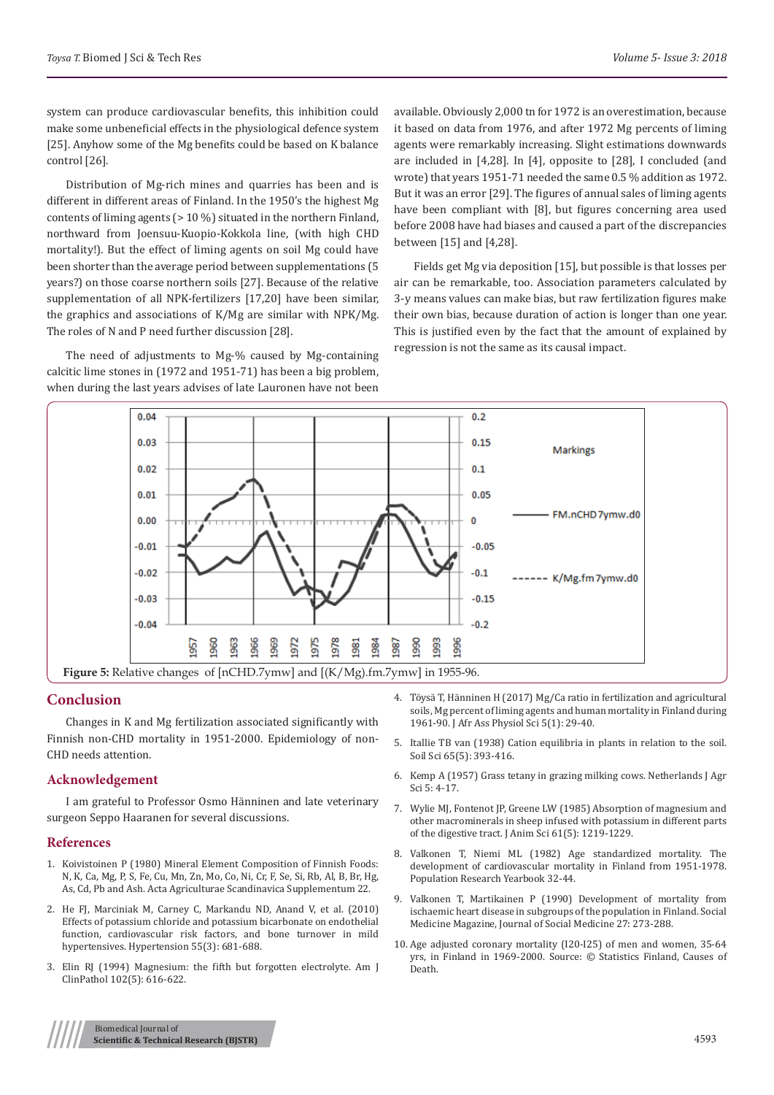system can produce cardiovascular benefits, this inhibition could make some unbeneficial effects in the physiological defence system [25]. Anyhow some of the Mg benefits could be based on K balance control [26].

Distribution of Mg-rich mines and quarries has been and is different in different areas of Finland. In the 1950's the highest Mg contents of liming agents (> 10 %) situated in the northern Finland, northward from Joensuu-Kuopio-Kokkola line, (with high CHD mortality!). But the effect of liming agents on soil Mg could have been shorter than the average period between supplementations (5 years?) on those coarse northern soils [27]. Because of the relative supplementation of all NPK-fertilizers [17,20] have been similar, the graphics and associations of K/Mg are similar with NPK/Mg. The roles of N and P need further discussion [28].

The need of adjustments to Mg-% caused by Mg-containing calcitic lime stones in (1972 and 1951-71) has been a big problem, when during the last years advises of late Lauronen have not been

available. Obviously 2,000 tn for 1972 is an overestimation, because it based on data from 1976, and after 1972 Mg percents of liming agents were remarkably increasing. Slight estimations downwards are included in [4,28]. In [4], opposite to [28], I concluded (and wrote) that years 1951-71 needed the same 0.5 % addition as 1972. But it was an error [29]. The figures of annual sales of liming agents have been compliant with [8], but figures concerning area used before 2008 have had biases and caused a part of the discrepancies between [15] and [4,28].

Fields get Mg via deposition [15], but possible is that losses per air can be remarkable, too. Association parameters calculated by 3-y means values can make bias, but raw fertilization figures make their own bias, because duration of action is longer than one year. This is justified even by the fact that the amount of explained by regression is not the same as its causal impact.



## **Conclusion**

Changes in K and Mg fertilization associated significantly with Finnish non-CHD mortality in 1951-2000. Epidemiology of non-CHD needs attention.

## **Acknowledgement**

I am grateful to Professor Osmo Hänninen and late veterinary surgeon Seppo Haaranen for several discussions.

#### **References**

- 1. [Koivistoinen P \(1980\) Mineral Element Composition of Finnish Foods:](https://trove.nla.gov.au/work/21775350?q&versionId=26191687)  [N, K, Ca, Mg, P, S, Fe, Cu, Mn, Zn, Mo, Co, Ni, Cr, F, Se, Si, Rb, Al, B, Br, Hg,](https://trove.nla.gov.au/work/21775350?q&versionId=26191687)  [As, Cd, Pb and Ash. Acta Agriculturae Scandinavica Supplementum 22.](https://trove.nla.gov.au/work/21775350?q&versionId=26191687)
- 2. [He FJ, Marciniak M, Carney C, Markandu ND, Anand V, et al. \(2010\)](https://www.ncbi.nlm.nih.gov/pubmed/20083724)  [Effects of potassium chloride and potassium bicarbonate on endothelial](https://www.ncbi.nlm.nih.gov/pubmed/20083724)  [function, cardiovascular risk factors, and bone turnover in mild](https://www.ncbi.nlm.nih.gov/pubmed/20083724)  [hypertensives. Hypertension 55\(3\): 681-688.](https://www.ncbi.nlm.nih.gov/pubmed/20083724)
- 3. [Elin RJ \(1994\) Magnesium: the fifth but forgotten electrolyte. Am J](https://www.ncbi.nlm.nih.gov/pubmed/7942627)  [ClinPathol 102\(5\): 616-622.](https://www.ncbi.nlm.nih.gov/pubmed/7942627)
- 4. Töysä T, Hänninen H (2017) Mg/Ca ratio in fertilization and agricultural soils, Mg percent of liming agents and human mortality in Finland during 1961-90. J Afr Ass Physiol Sci 5(1): 29-40.
- 5. [Itallie TB van \(1938\) Cation equilibria in plants in relation to the soil.](https://journals.lww.com/soilsci/Citation/1948/05000/CATION_EQUILIBRIA_IN_PLANTS_IN_RELATION_TO_THE.4.aspx) [Soil Sci 65\(5\): 393-416.](https://journals.lww.com/soilsci/Citation/1948/05000/CATION_EQUILIBRIA_IN_PLANTS_IN_RELATION_TO_THE.4.aspx)
- 6. Kemp A (1957) Grass tetany in grazing milking cows. Netherlands J Agr Sci 5: 4-17.
- 7. Wylie MJ, Fontenot JP, [Greene LW \(1985\) Absorption of](https://www.ncbi.nlm.nih.gov/pubmed/4077768) magnesium and [other macrominerals in sheep infused with potassium in different parts](https://www.ncbi.nlm.nih.gov/pubmed/4077768) [of the digestive tract. J Anim Sci 61\(5\): 1219-1229.](https://www.ncbi.nlm.nih.gov/pubmed/4077768)
- 8. Valkonen T, Niemi ML (1982) Age standardized mortality. The development of cardiovascular mortality in Finland from 1951-1978. Population Research Yearbook 32-44.
- 9. Valkonen T, Martikainen P (1990) Development of mortality from ischaemic heart disease in subgroups of the population in Finland. Social Medicine Magazine, Journal of Social Medicine 27: 273-288.
- 10. Age adjusted coronary mortality (I20-I25) of men and women, 35-64 yrs, in Finland in 1969-2000. Source: © Statistics Finland, Causes of Death.